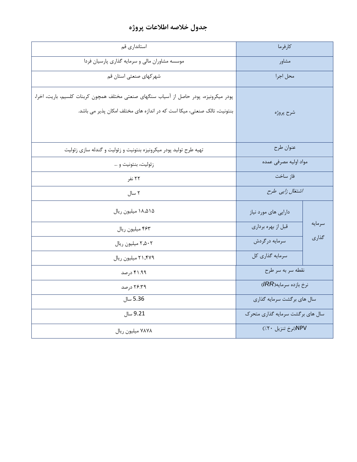## **جدول خالصه اطالعات پروژه**

| استانداری قم                                                                           | كارفرما                           |        |
|----------------------------------------------------------------------------------------|-----------------------------------|--------|
| موسسه مشاوران مالی و سرمایه گذاری پارسیان فردا                                         | مشاور                             |        |
| شهر کهای صنعتی استان قم                                                                | محل اجرا                          |        |
| پودر میکرونیزه، پودر حاصل از آسیاب سنگهای صنعتی مختلف همچون کربنات کلسیم، باریت، اخرا، |                                   |        |
| بنتونیت، تالک صنعتی، میکا است که در اندازه های مختلف امکان پذیر می باشد.               | شرح پروژه                         |        |
|                                                                                        |                                   |        |
| تهیه طرح تولید پودر میکرونیزه بنتونیت و زئولیت و گندله سازی زئولیت                     | عنوان طرح                         |        |
| زئوليت، بنتونيت و …                                                                    | مواد اوليه مصرفى عمده             |        |
| ۲۲ نفر                                                                                 | فاز ساخت                          |        |
| ۲ سال                                                                                  | اشتغال زایی طرح                   |        |
| ۱۸٬۵۱۵ میلیون ریال                                                                     | دارایی های مورد نیاز              |        |
| ۴۶۳ میلیون ریال                                                                        | قبل از بهره برداري                | سرمايه |
| ٢.۵٠٢ ميليون ريال                                                                      | سرمايه درگردش                     | گذاری  |
| ٢١,۴٧٩ ميليون ريال                                                                     | سرمايه گذاري كل                   |        |
| ۴۱.۹۹ درصد                                                                             | نقطه سربه سر طرح                  |        |
| ۲۶.۳۹ درصد                                                                             | نرخ بازده سرمايه(IRR)             |        |
| 5.36 سال                                                                               | سال های برگشت سرمایه گذاری        |        |
| 9.21 سال                                                                               | سال های بر گشت سرمایه گذاری متحرک |        |
| ۷۸۷۸ میلیون ریال                                                                       | NPV(نرخ تنزيل ۲۰/)                |        |